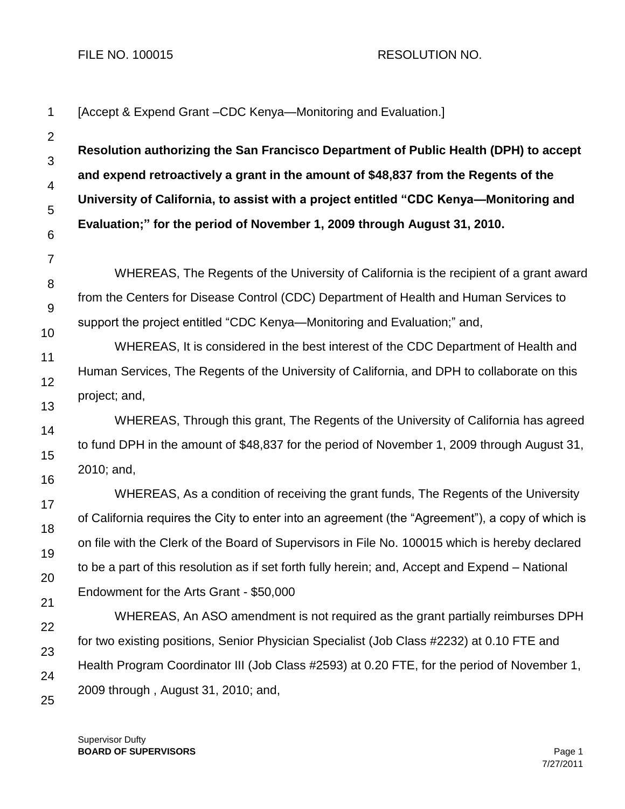FILE NO. 100015 RESOLUTION NO.

| 1                   | [Accept & Expend Grant - CDC Kenya-Monitoring and Evaluation.]                                                                                                                                                                                          |  |  |
|---------------------|---------------------------------------------------------------------------------------------------------------------------------------------------------------------------------------------------------------------------------------------------------|--|--|
| $\overline{2}$      | Resolution authorizing the San Francisco Department of Public Health (DPH) to accept                                                                                                                                                                    |  |  |
| 3                   | and expend retroactively a grant in the amount of \$48,837 from the Regents of the<br>University of California, to assist with a project entitled "CDC Kenya—Monitoring and<br>Evaluation;" for the period of November 1, 2009 through August 31, 2010. |  |  |
| $\overline{4}$      |                                                                                                                                                                                                                                                         |  |  |
| 5                   |                                                                                                                                                                                                                                                         |  |  |
| $6\phantom{1}6$     |                                                                                                                                                                                                                                                         |  |  |
| $\overline{7}$<br>8 | WHEREAS, The Regents of the University of California is the recipient of a grant award                                                                                                                                                                  |  |  |
| $9\,$               | from the Centers for Disease Control (CDC) Department of Health and Human Services to<br>support the project entitled "CDC Kenya—Monitoring and Evaluation;" and,                                                                                       |  |  |
| 10                  |                                                                                                                                                                                                                                                         |  |  |
|                     | WHEREAS, It is considered in the best interest of the CDC Department of Health and                                                                                                                                                                      |  |  |
| 11                  | Human Services, The Regents of the University of California, and DPH to collaborate on this<br>project; and,                                                                                                                                            |  |  |
| 12                  |                                                                                                                                                                                                                                                         |  |  |
| 13                  | WHEREAS, Through this grant, The Regents of the University of California has agreed                                                                                                                                                                     |  |  |
| 14                  | to fund DPH in the amount of \$48,837 for the period of November 1, 2009 through August 31,                                                                                                                                                             |  |  |
| 15                  | 2010; and,                                                                                                                                                                                                                                              |  |  |
| 16                  | WHEREAS, As a condition of receiving the grant funds, The Regents of the University                                                                                                                                                                     |  |  |
| 17                  | of California requires the City to enter into an agreement (the "Agreement"), a copy of which is                                                                                                                                                        |  |  |
| 18                  | on file with the Clerk of the Board of Supervisors in File No. 100015 which is hereby declared                                                                                                                                                          |  |  |
| 19                  | to be a part of this resolution as if set forth fully herein; and, Accept and Expend – National                                                                                                                                                         |  |  |
| 20                  | Endowment for the Arts Grant - \$50,000                                                                                                                                                                                                                 |  |  |
| 21                  | WHEREAS, An ASO amendment is not required as the grant partially reimburses DPH                                                                                                                                                                         |  |  |
| 22                  | for two existing positions, Senior Physician Specialist (Job Class #2232) at 0.10 FTE and                                                                                                                                                               |  |  |
| 23                  | Health Program Coordinator III (Job Class #2593) at 0.20 FTE, for the period of November 1,                                                                                                                                                             |  |  |
| 24                  | 2009 through, August 31, 2010; and,                                                                                                                                                                                                                     |  |  |
| 25                  |                                                                                                                                                                                                                                                         |  |  |

Supervisor Dufty **BOARD OF SUPERVISORS** Page 1